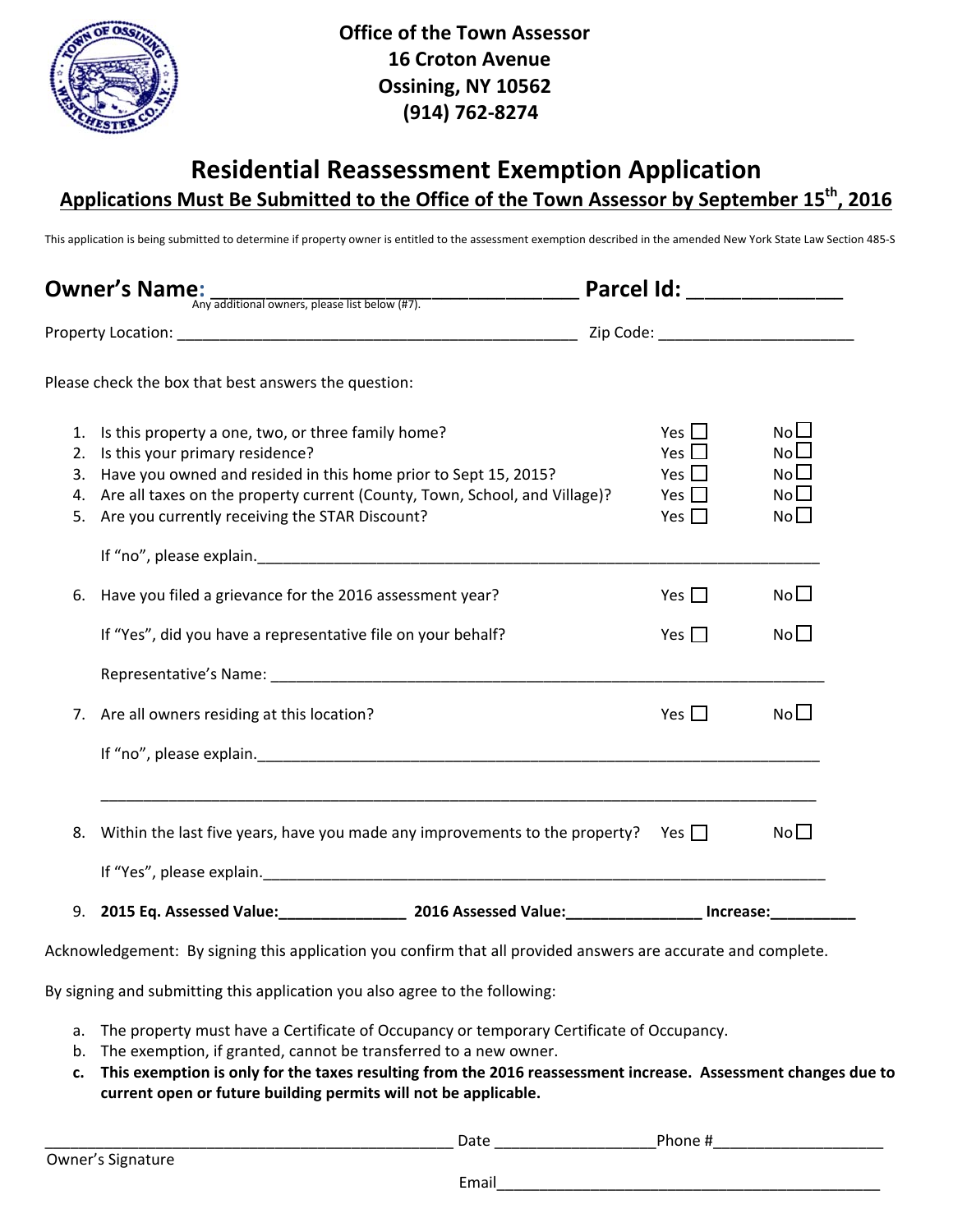

## **Residential Reassessment Exemption Application Applications Must Be Submitted to the Office of the Town Assessor by September 15th, 2016**

This application is being submitted to determine if property owner is entitled to the assessment exemption described in the amended New York State Law Section 485-S

| <b>Owner's Name:</b><br>Any additional owners, please list below (#7). |                                                                                                                                                                                                                                                                                                |                                                                    |                                                                                |
|------------------------------------------------------------------------|------------------------------------------------------------------------------------------------------------------------------------------------------------------------------------------------------------------------------------------------------------------------------------------------|--------------------------------------------------------------------|--------------------------------------------------------------------------------|
|                                                                        |                                                                                                                                                                                                                                                                                                |                                                                    |                                                                                |
|                                                                        | Please check the box that best answers the question:                                                                                                                                                                                                                                           |                                                                    |                                                                                |
| 1.<br>2.<br>5.                                                         | Is this property a one, two, or three family home?<br>Is this your primary residence?<br>3. Have you owned and resided in this home prior to Sept 15, 2015?<br>4. Are all taxes on the property current (County, Town, School, and Village)?<br>Are you currently receiving the STAR Discount? | Yes $\Box$<br>Yes $\Box$<br>Yes $\Box$<br>Yes $\Box$<br>Yes $\Box$ | No <sub>l</sub><br>No <sub>l</sub><br>No <sub>1</sub><br>No <sub>1</sub><br>No |
| 6.                                                                     | Have you filed a grievance for the 2016 assessment year?                                                                                                                                                                                                                                       | Yes $\Box$                                                         | No <sub>1</sub>                                                                |
|                                                                        | If "Yes", did you have a representative file on your behalf?                                                                                                                                                                                                                                   | Yes $\Box$                                                         | No <sub>1</sub>                                                                |
| 7.                                                                     | Are all owners residing at this location?                                                                                                                                                                                                                                                      | Yes $\Box$                                                         | No <sup>1</sup>                                                                |
| 8.                                                                     | Within the last five years, have you made any improvements to the property? Yes $\Box$                                                                                                                                                                                                         |                                                                    | No <sub>1</sub>                                                                |
|                                                                        | 9. 2015 Eq. Assessed Value: 2016 Assessed Value: 10.15 Increase: 10.15 Increase:                                                                                                                                                                                                               |                                                                    |                                                                                |
|                                                                        | Acknowledgement: By signing this application you confirm that all provided answers are accurate and complete.<br>By signing and submitting this application you also agree to the following:                                                                                                   |                                                                    |                                                                                |
| a.                                                                     | The property must have a Certificate of Occupancy or temporary Certificate of Occupancy.                                                                                                                                                                                                       |                                                                    |                                                                                |

- b. The exemption, if granted, cannot be transferred to a new owner.
- c. This exemption is only for the taxes resulting from the 2016 reassessment increase. Assessment changes due to **current open or future building permits will not be applicable.**

Date the control of the Phone #